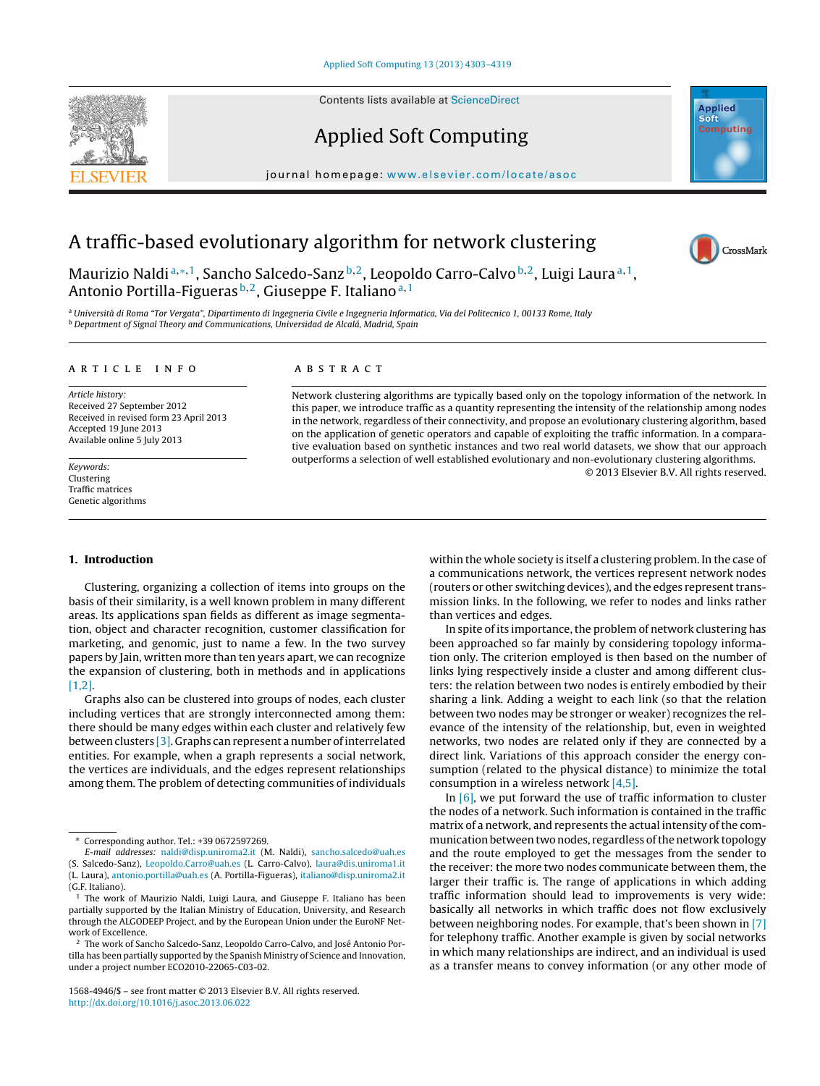Contents lists available at [ScienceDirect](http://www.sciencedirect.com/science/journal/15684946)



### Applied Soft Computing

journal homepage: <www.elsevier.com/locate/asoc>



## A traffic-based evolutionary algorithm for network clustering



Maurizio Naldi<sup>a,∗,1</sup>, Sancho Salcedo-Sanz<sup>b,2</sup>, Leopoldo Carro-Calvo<sup>b,2</sup>, Luigi Laura<sup>a,1</sup>, Antonio Portilla-Figueras<sup>b, 2</sup>, Giuseppe F. Italiano<sup>a, 1</sup>

<sup>a</sup> Università di Roma "Tor Vergata", Dipartimento di Ingegneria Civile e Ingegneria Informatica, Via del Politecnico 1, 00133 Rome, Italy <sup>b</sup> Department of Signal Theory and Communications, Universidad de Alcalá, Madrid, Spain

#### ARTICLE INFO

Article history: Received 27 September 2012 Received in revised form 23 April 2013 Accepted 19 June 2013 Available online 5 July 2013

Keywords: Clustering Traffic matrices Genetic algorithms

#### **1. Introduction**

Clustering, organizing a collection of items into groups on the basis of their similarity, is a well known problem in many different areas. Its applications span fields as different as image segmentation, object and character recognition, customer classification for marketing, and genomic, just to name a few. In the two survey papers by Jain, written more than ten years apart, we can recognize the expansion of clustering, both in methods and in applications [\[1,2\].](#page--1-0)

Graphs also can be clustered into groups of nodes, each cluster including vertices that are strongly interconnected among them: there should be many edges within each cluster and relatively few between clusters [\[3\].](#page--1-0) Graphs can represent a number of interrelated entities. For example, when a graph represents a social network, the vertices are individuals, and the edges represent relationships among them. The problem of detecting communities of individuals

1568-4946/\$ – see front matter © 2013 Elsevier B.V. All rights reserved. [http://dx.doi.org/10.1016/j.asoc.2013.06.022](dx.doi.org/10.1016/j.asoc.2013.06.022)

#### a b s t r a c t

Network clustering algorithms are typically based only on the topology information of the network. In this paper, we introduce traffic as a quantity representing the intensity of the relationship among nodes in the network, regardless of their connectivity, and propose an evolutionary clustering algorithm, based on the application of genetic operators and capable of exploiting the traffic information. In a comparative evaluation based on synthetic instances and two real world datasets, we show that our approach outperforms a selection of well established evolutionary and non-evolutionary clustering algorithms. © 2013 Elsevier B.V. All rights reserved.

> within the whole society is itself a clustering problem. In the case of a communications network, the vertices represent network nodes (routers or other switching devices), and the edges represent transmission links. In the following, we refer to nodes and links rather than vertices and edges.

> In spite of its importance, the problem of network clustering has been approached so far mainly by considering topology information only. The criterion employed is then based on the number of links lying respectively inside a cluster and among different clusters: the relation between two nodes is entirely embodied by their sharing a link. Adding a weight to each link (so that the relation between two nodes may be stronger or weaker) recognizes the relevance of the intensity of the relationship, but, even in weighted networks, two nodes are related only if they are connected by a direct link. Variations of this approach consider the energy consumption (related to the physical distance) to minimize the total consumption in a wireless network [\[4,5\].](#page--1-0)

> In  $[6]$ , we put forward the use of traffic information to cluster the nodes of a network. Such information is contained in the traffic matrix of a network, and represents the actual intensity of the communication between two nodes, regardless of the network topology and the route employed to get the messages from the sender to the receiver: the more two nodes communicate between them, the larger their traffic is. The range of applications in which adding traffic information should lead to improvements is very wide: basically all networks in which traffic does not flow exclusively between neighboring nodes. For example, that's been shown in [\[7\]](#page--1-0) for telephony traffic. Another example is given by social networks in which many relationships are indirect, and an individual is used as a transfer means to convey information (or any other mode of

<sup>∗</sup> Corresponding author. Tel.: +39 0672597269.

E-mail addresses: [naldi@disp.uniroma2.it](mailto:naldi@disp.uniroma2.it) (M. Naldi), [sancho.salcedo@uah.es](mailto:sancho.salcedo@uah.es) (S. Salcedo-Sanz), [Leopoldo.Carro@uah.es](mailto:Leopoldo.Carro@uah.es) (L. Carro-Calvo), [laura@dis.uniroma1.it](mailto:laura@dis.uniroma1.it) (L. Laura), [antonio.portilla@uah.es](mailto:antonio.portilla@uah.es) (A. Portilla-Figueras), [italiano@disp.uniroma2.it](mailto:italiano@disp.uniroma2.it) (G.F. Italiano).

 $1$  The work of Maurizio Naldi, Luigi Laura, and Giuseppe F. Italiano has been partially supported by the Italian Ministry of Education, University, and Research through the ALGODEEP Project, and by the European Union under the EuroNF Network of Excellence.

<sup>2</sup> The work of Sancho Salcedo-Sanz, Leopoldo Carro-Calvo, and José Antonio Portilla has been partially supported by the Spanish Ministry of Science and Innovation, under a project number ECO2010-22065-C03-02.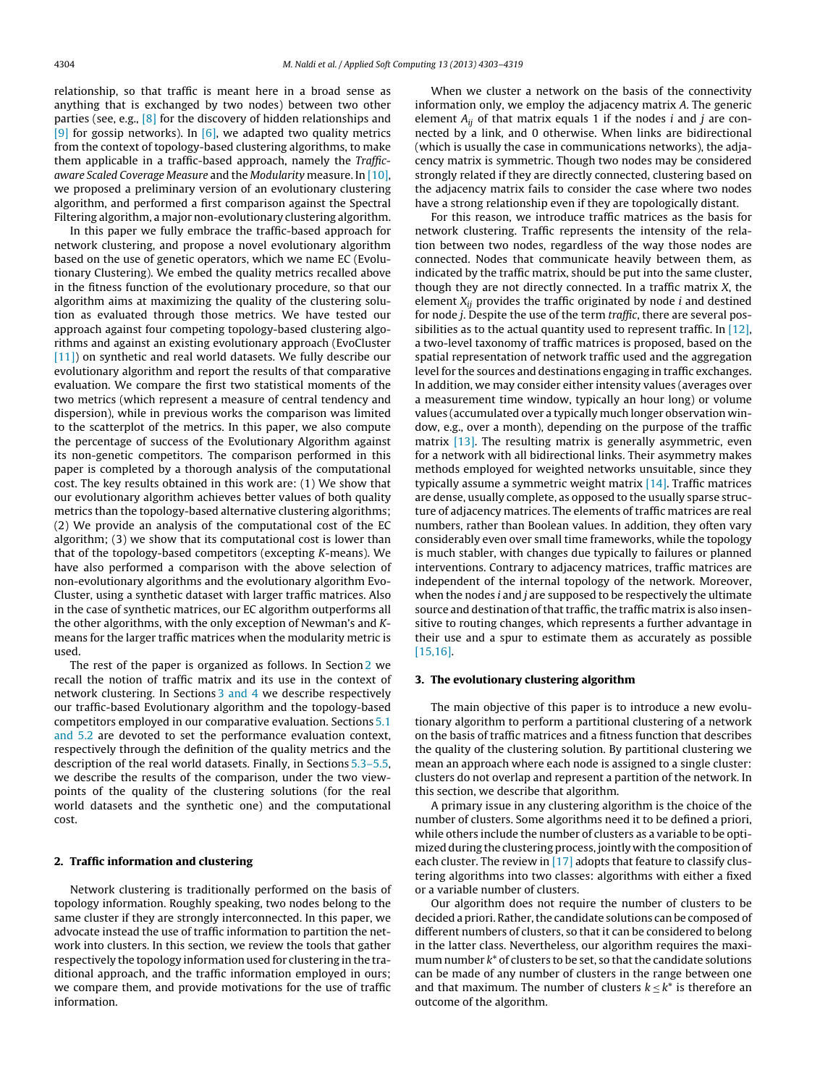relationship, so that traffic is meant here in a broad sense as anything that is exchanged by two nodes) between two other parties (see, e.g., [\[8\]](#page--1-0) for the discovery of hidden relationships and [\[9\]](#page--1-0) for gossip networks). In  $[6]$ , we adapted two quality metrics from the context of topology-based clustering algorithms, to make them applicable in a traffic-based approach, namely the Trafficaware Scaled Coverage Measure and the Modularity measure. In [\[10\],](#page--1-0) we proposed a preliminary version of an evolutionary clustering algorithm, and performed a first comparison against the Spectral Filtering algorithm, a major non-evolutionary clustering algorithm.

In this paper we fully embrace the traffic-based approach for network clustering, and propose a novel evolutionary algorithm based on the use of genetic operators, which we name EC (Evolutionary Clustering). We embed the quality metrics recalled above in the fitness function of the evolutionary procedure, so that our algorithm aims at maximizing the quality of the clustering solution as evaluated through those metrics. We have tested our approach against four competing topology-based clustering algorithms and against an existing evolutionary approach (EvoCluster [\[11\]\)](#page--1-0) on synthetic and real world datasets. We fully describe our evolutionary algorithm and report the results of that comparative evaluation. We compare the first two statistical moments of the two metrics (which represent a measure of central tendency and dispersion), while in previous works the comparison was limited to the scatterplot of the metrics. In this paper, we also compute the percentage of success of the Evolutionary Algorithm against its non-genetic competitors. The comparison performed in this paper is completed by a thorough analysis of the computational cost. The key results obtained in this work are: (1) We show that our evolutionary algorithm achieves better values of both quality metrics than the topology-based alternative clustering algorithms; (2) We provide an analysis of the computational cost of the EC algorithm; (3) we show that its computational cost is lower than that of the topology-based competitors (excepting K-means). We have also performed a comparison with the above selection of non-evolutionary algorithms and the evolutionary algorithm Evo-Cluster, using a synthetic dataset with larger traffic matrices. Also in the case of synthetic matrices, our EC algorithm outperforms all the other algorithms, with the only exception of Newman's and Kmeans for the larger traffic matrices when the modularity metric is used.

The rest of the paper is organized as follows. In Section 2 we recall the notion of traffic matrix and its use in the context of network clustering. In Sections 3 and 4 we describe respectively our traffic-based Evolutionary algorithm and the topology-based competitors employed in our comparative evaluation. Sections [5.1](#page--1-0) [and](#page--1-0) [5.2](#page--1-0) are devoted to set the performance evaluation context, respectively through the definition of the quality metrics and the description of the real world datasets. Finally, in Sections [5.3–5.5,](#page--1-0) we describe the results of the comparison, under the two viewpoints of the quality of the clustering solutions (for the real world datasets and the synthetic one) and the computational cost.

#### **2. Traffic information and clustering**

Network clustering is traditionally performed on the basis of topology information. Roughly speaking, two nodes belong to the same cluster if they are strongly interconnected. In this paper, we advocate instead the use of traffic information to partition the network into clusters. In this section, we review the tools that gather respectively the topology information used for clustering in the traditional approach, and the traffic information employed in ours; we compare them, and provide motivations for the use of traffic information.

When we cluster a network on the basis of the connectivity information only, we employ the adjacency matrix A. The generic element  $A_{ii}$  of that matrix equals 1 if the nodes *i* and *j* are connected by a link, and 0 otherwise. When links are bidirectional (which is usually the case in communications networks), the adjacency matrix is symmetric. Though two nodes may be considered strongly related if they are directly connected, clustering based on the adjacency matrix fails to consider the case where two nodes have a strong relationship even if they are topologically distant.

For this reason, we introduce traffic matrices as the basis for network clustering. Traffic represents the intensity of the relation between two nodes, regardless of the way those nodes are connected. Nodes that communicate heavily between them, as indicated by the traffic matrix, should be put into the same cluster, though they are not directly connected. In a traffic matrix X, the element  $X_{ii}$  provides the traffic originated by node  $i$  and destined for node j. Despite the use of the term traffic, there are several possibilities as to the actual quantity used to represent traffic. In [\[12\],](#page--1-0) a two-level taxonomy of traffic matrices is proposed, based on the spatial representation of network traffic used and the aggregation level for the sources and destinations engaging in traffic exchanges. In addition, we may consider either intensity values (averages over a measurement time window, typically an hour long) or volume values (accumulated over a typically much longer observation window, e.g., over a month), depending on the purpose of the traffic matrix  $[13]$ . The resulting matrix is generally asymmetric, even for a network with all bidirectional links. Their asymmetry makes methods employed for weighted networks unsuitable, since they typically assume a symmetric weight matrix [\[14\].](#page--1-0) Traffic matrices are dense, usually complete, as opposed to the usually sparse structure of adjacency matrices. The elements of traffic matrices are real numbers, rather than Boolean values. In addition, they often vary considerably even over small time frameworks, while the topology is much stabler, with changes due typically to failures or planned interventions. Contrary to adjacency matrices, traffic matrices are independent of the internal topology of the network. Moreover, when the nodes *i* and *j* are supposed to be respectively the ultimate source and destination of that traffic, the traffic matrix is also insensitive to routing changes, which represents a further advantage in their use and a spur to estimate them as accurately as possible [\[15,16\].](#page--1-0)

#### **3. The evolutionary clustering algorithm**

The main objective of this paper is to introduce a new evolutionary algorithm to perform a partitional clustering of a network on the basis of traffic matrices and a fitness function that describes the quality of the clustering solution. By partitional clustering we mean an approach where each node is assigned to a single cluster: clusters do not overlap and represent a partition of the network. In this section, we describe that algorithm.

A primary issue in any clustering algorithm is the choice of the number of clusters. Some algorithms need it to be defined a priori, while others include the number of clusters as a variable to be optimized during the clustering process, jointly with the composition of each cluster. The review in  $[17]$  adopts that feature to classify clustering algorithms into two classes: algorithms with either a fixed or a variable number of clusters.

Our algorithm does not require the number of clusters to be decided a priori. Rather, the candidate solutions can be composed of different numbers of clusters, so that it can be considered to belong in the latter class. Nevertheless, our algorithm requires the maximum number  $k^*$  of clusters to be set, so that the candidate solutions can be made of any number of clusters in the range between one and that maximum. The number of clusters  $k \leq k^*$  is therefore an outcome of the algorithm.